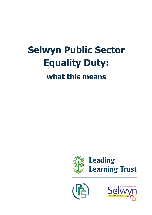# **Selwyn Public Sector Equality Duty: what this means**





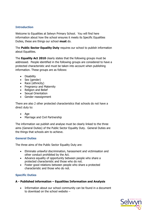## **Introduction**

Welcome to Equalities at Selwyn Primary School. You will find here information about how the school ensures it meets its Specific Equalities Duties, these are things our school **must** do.

The **Public Sector Equality Duty** requires our school to publish information about Equalities.

The **Equality Act 2010** clearly states that the following groups must be addressed. People identified in the following groups are considered to have a protected characteristic and must be taken into account when publishing information. These groups are as follows:

- Disability
- Sex (gender)
- Race (ethnicity)
- Pregnancy and Maternity
- Religion and Belief
- Sexual Orientation
- Gender reassignment

There are also 2 other protected characteristics that schools do not have a direct duty to:

- Age
- Marriage and Civil Partnership

The information we publish and analyse must be clearly linked to the three aims (General Duties) of the Public Sector Equality Duty. General Duties are the things that schools aim to achieve.

## **General Duties**

The three aims of the Public Sector Equality Duty are:

- Eliminate unlawful discrimination, harassment and victimisation and other conduct prohibited by the Act.
- Advance equality of opportunity between people who share a protected characteristic and those who do not.
- Foster good relations between people who share a protected characteristic and those who do not.

## **Specific Duties**

## **A - Published information – Equalities Information and Analysis**

• Information about our school community can be found in a document to download on the school website –